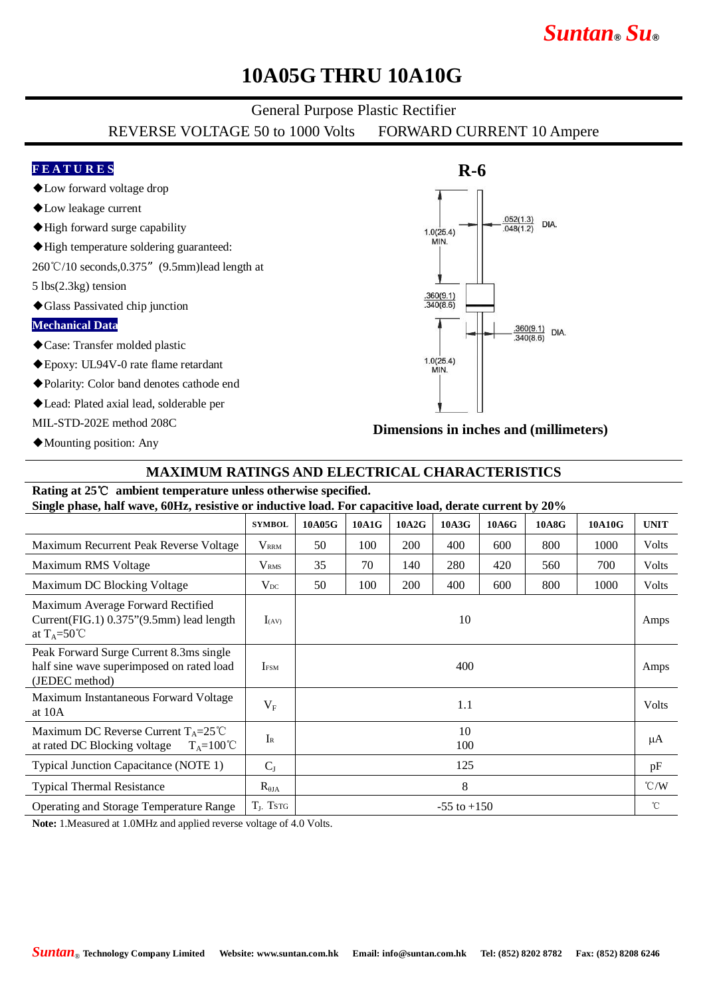# *Suntan***®** *Su***®**

## **10A05G THRU 10A10G**

## General Purpose Plastic Rectifier

REVERSE VOLTAGE 50 to 1000 Volts FORWARD CURRENT 10 Ampere

## **F E A T U R E S**

- ◆Low forward voltage drop
- ◆Low leakage current
- ◆High forward surge capability
- ◆High temperature soldering guaranteed:
- 260℃/10 seconds,0.375"(9.5mm)lead length at
- 5 lbs(2.3kg) tension
- ◆Glass Passivated chip junction

#### **Mechanical Data**

- ◆Case: Transfer molded plastic
- ◆Epoxy: UL94V-0 rate flame retardant
- ◆Polarity: Color band denotes cathode end
- ◆Lead: Plated axial lead, solderable per
- MIL-STD-202E method 208C
- ◆Mounting position: Any



**Dimensions in inches and (millimeters)**

### **MAXIMUM RATINGS AND ELECTRICAL CHARACTERISTICS**

## **Rating at 25**℃ **ambient temperature unless otherwise specified.**

**Single phase, half wave, 60Hz, resistive or inductive load. For capacitive load, derate current by 20%**

|                                                                                                          | <b>SYMBOL</b>           | 10A05G          | 10A1G | 10A2G      | 10A3G | 10A6G | 10A8G | 10A10G | <b>UNIT</b>        |
|----------------------------------------------------------------------------------------------------------|-------------------------|-----------------|-------|------------|-------|-------|-------|--------|--------------------|
| Maximum Recurrent Peak Reverse Voltage                                                                   | $V_{\rm RRM}$           | 50              | 100   | <b>200</b> | 400   | 600   | 800   | 1000   | Volts              |
| Maximum RMS Voltage                                                                                      | $\rm V_{\rm RMS}$       | 35              | 70    | 140        | 280   | 420   | 560   | 700    | Volts              |
| Maximum DC Blocking Voltage                                                                              | $V_{DC}$                | 50              | 100   | <b>200</b> | 400   | 600   | 800   | 1000   | Volts              |
| Maximum Average Forward Rectified<br>Current(FIG.1) 0.375"(9.5mm) lead length<br>at $T_A = 50^{\circ}$ C | $I_{(AV)}$              | 10              |       |            |       |       |       |        | Amps               |
| Peak Forward Surge Current 8.3ms single<br>half sine wave superimposed on rated load<br>(JEDEC method)   | <b>I</b> <sub>FSM</sub> | 400             |       |            |       |       |       |        | Amps               |
| Maximum Instantaneous Forward Voltage<br>at 10A                                                          | $V_{F}$                 | 1.1             |       |            |       |       |       |        | Volts              |
| Maximum DC Reverse Current $T_A = 25^{\circ}C$<br>at rated DC Blocking voltage<br>$T_A=100^{\circ}C$     | $I_{R}$                 | 10<br>100       |       |            |       |       |       |        | μA                 |
| Typical Junction Capacitance (NOTE 1)                                                                    | $C_{J}$                 | 125             |       |            |       |       |       |        | pF                 |
| <b>Typical Thermal Resistance</b>                                                                        | $R_{\theta JA}$         | 8               |       |            |       |       |       |        | $\rm ^{\circ}$ C/W |
| <b>Operating and Storage Temperature Range</b>                                                           | $T_{J}$ , TstG          | $-55$ to $+150$ |       |            |       |       |       |        | $^{\circ}$ C       |

**Note:** 1.Measured at 1.0MHz and applied reverse voltage of 4.0 Volts.